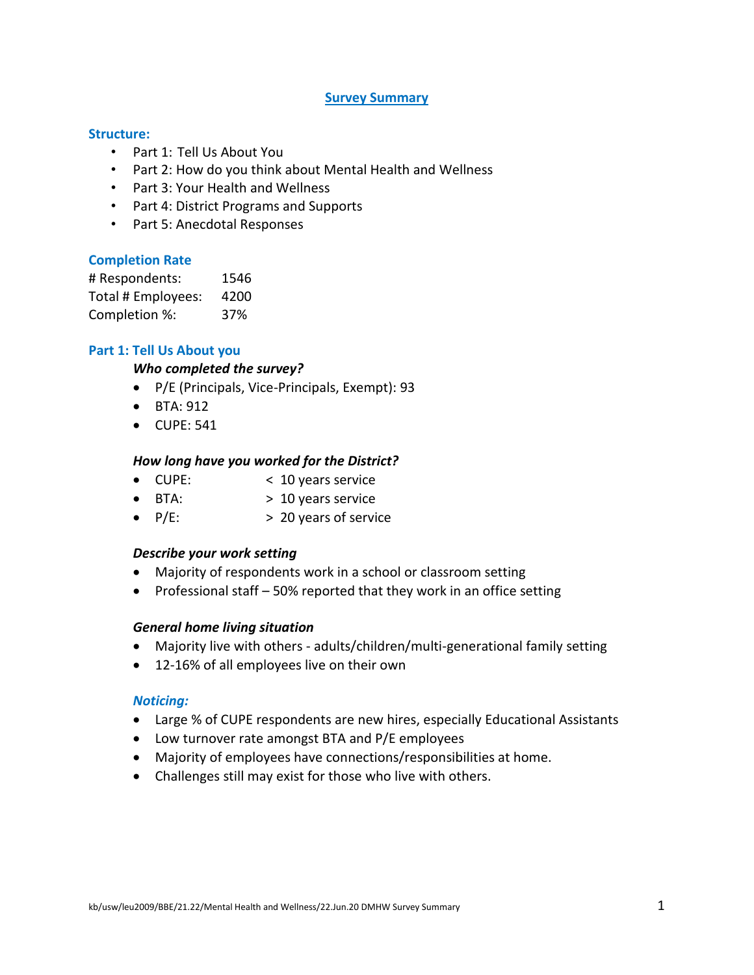## **Survey Summary**

#### **Structure:**

- Part 1: Tell Us About You
- Part 2: How do you think about Mental Health and Wellness
- Part 3: Your Health and Wellness
- Part 4: District Programs and Supports
- Part 5: Anecdotal Responses

# **Completion Rate**

| # Respondents:     | 1546 |
|--------------------|------|
| Total # Employees: | 4200 |
| Completion %:      | 37%  |

# **Part 1: Tell Us About you**

#### *Who completed the survey?*

- P/E (Principals, Vice-Principals, Exempt): 93
- BTA: 912
- CUPE: 541

## *How long have you worked for the District?*

- CUPE: < 10 years service
- BTA: > 10 years service
- $P/E$ :  $> 20$  years of service

#### *Describe your work setting*

- Majority of respondents work in a school or classroom setting
- Professional staff 50% reported that they work in an office setting

# *General home living situation*

- Majority live with others adults/children/multi-generational family setting
- 12-16% of all employees live on their own

#### *Noticing:*

- Large % of CUPE respondents are new hires, especially Educational Assistants
- Low turnover rate amongst BTA and P/E employees
- Majority of employees have connections/responsibilities at home.
- Challenges still may exist for those who live with others.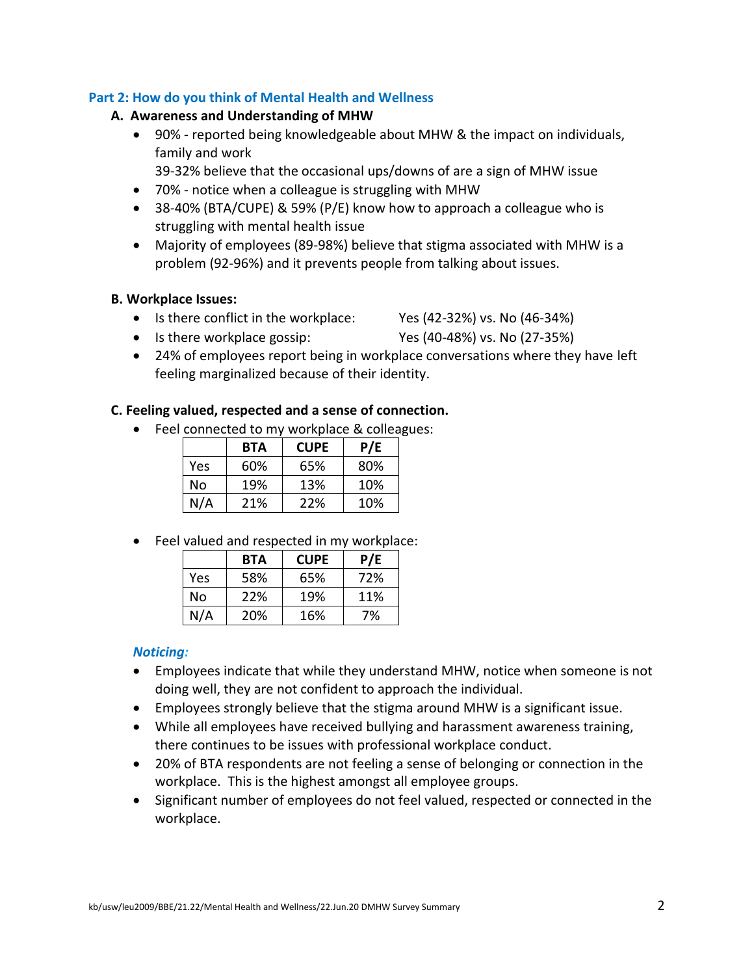# **Part 2: How do you think of Mental Health and Wellness**

- **A. Awareness and Understanding of MHW**
	- 90% reported being knowledgeable about MHW & the impact on individuals, family and work
		- 39-32% believe that the occasional ups/downs of are a sign of MHW issue
	- 70% notice when a colleague is struggling with MHW
	- 38-40% (BTA/CUPE) & 59% (P/E) know how to approach a colleague who is struggling with mental health issue
	- Majority of employees (89-98%) believe that stigma associated with MHW is a problem (92-96%) and it prevents people from talking about issues.

# **B. Workplace Issues:**

- Is there conflict in the workplace: Yes (42-32%) vs. No (46-34%)
- Is there workplace gossip: Yes (40-48%) vs. No (27-35%)
	-
- 24% of employees report being in workplace conversations where they have left feeling marginalized because of their identity.

# **C. Feeling valued, respected and a sense of connection.**

• Feel connected to my workplace & colleagues:

|     | <b>BTA</b> | <b>CUPE</b> | P/E |
|-----|------------|-------------|-----|
| Yes | 60%        | 65%         | 80% |
| No  | 19%        | 13%         | 10% |
| N/A | 21%        | 22%         | 10% |

• Feel valued and respected in my workplace:

|     | <b>BTA</b> | <b>CUPE</b> | P/E |
|-----|------------|-------------|-----|
| Yes | 58%        | 65%         | 72% |
| No  | 22%        | 19%         | 11% |
| N/A | 20%        | 16%         | 7%  |

# *Noticing:*

- Employees indicate that while they understand MHW, notice when someone is not doing well, they are not confident to approach the individual.
- Employees strongly believe that the stigma around MHW is a significant issue.
- While all employees have received bullying and harassment awareness training, there continues to be issues with professional workplace conduct.
- 20% of BTA respondents are not feeling a sense of belonging or connection in the workplace. This is the highest amongst all employee groups.
- Significant number of employees do not feel valued, respected or connected in the workplace.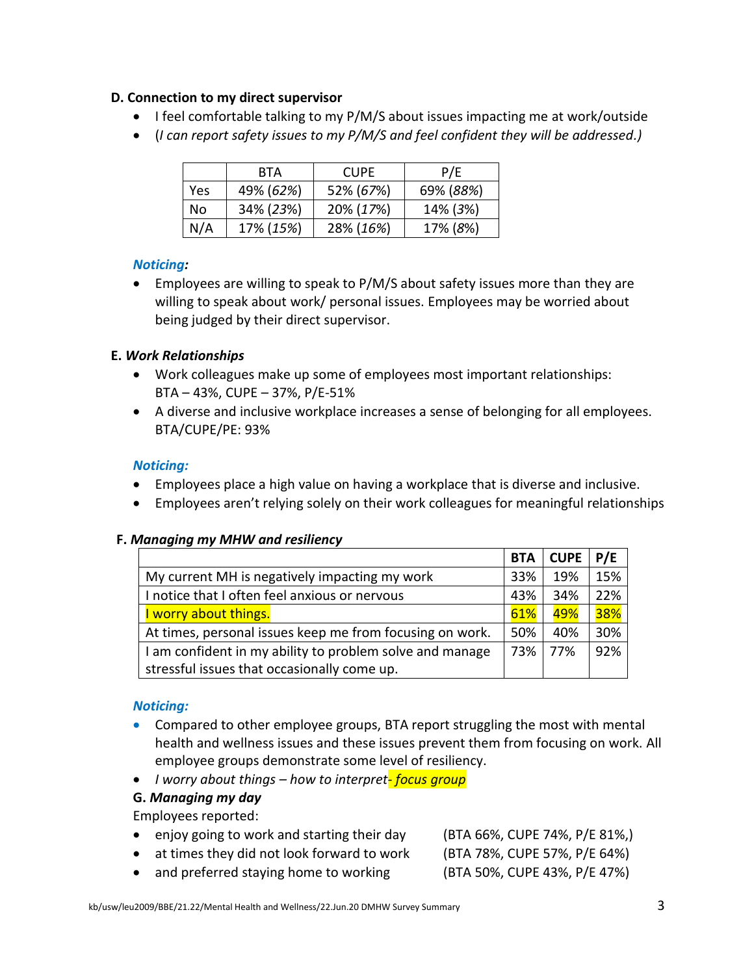# **D. Connection to my direct supervisor**

- I feel comfortable talking to my P/M/S about issues impacting me at work/outside
- (*I can report safety issues to my P/M/S and feel confident they will be addressed.)*

|      | RTA       | <b>CUPE</b> | P/E       |
|------|-----------|-------------|-----------|
| Yes. | 49% (62%) | 52% (67%)   | 69% (88%) |
| No   | 34% (23%) | 20% (17%)   | 14% (3%)  |
| N/A  | 17% (15%) | 28% (16%)   | 17% (8%)  |

# *Noticing:*

• Employees are willing to speak to P/M/S about safety issues more than they are willing to speak about work/ personal issues. Employees may be worried about being judged by their direct supervisor.

# **E.** *Work Relationships*

- Work colleagues make up some of employees most important relationships: BTA – 43%, CUPE – 37%, P/E-51%
- A diverse and inclusive workplace increases a sense of belonging for all employees. BTA/CUPE/PE: 93%

# *Noticing:*

- Employees place a high value on having a workplace that is diverse and inclusive.
- Employees aren't relying solely on their work colleagues for meaningful relationships

# **F.** *Managing my MHW and resiliency*

|                                                          | <b>BTA</b> | <b>CUPE</b> | P/E |
|----------------------------------------------------------|------------|-------------|-----|
| My current MH is negatively impacting my work            | 33%        | 19%         | 15% |
| I notice that I often feel anxious or nervous            | 43%        | 34%         | 22% |
| I worry about things.                                    | 61%        | 49%         | 38% |
| At times, personal issues keep me from focusing on work. | 50%        | 40%         | 30% |
| I am confident in my ability to problem solve and manage | 73%        | 77%         | 92% |
| stressful issues that occasionally come up.              |            |             |     |

# *Noticing:*

- Compared to other employee groups, BTA report struggling the most with mental health and wellness issues and these issues prevent them from focusing on work. All employee groups demonstrate some level of resiliency.
- *I worry about things – how to interpret- focus group*

# **G.** *Managing my day*

Employees reported:

- enjoy going to work and starting their day (BTA 66%, CUPE 74%, P/E 81%) • at times they did not look forward to work (BTA 78%, CUPE 57%, P/E 64%)
- and preferred staying home to working (BTA 50%, CUPE 43%, P/E 47%)
-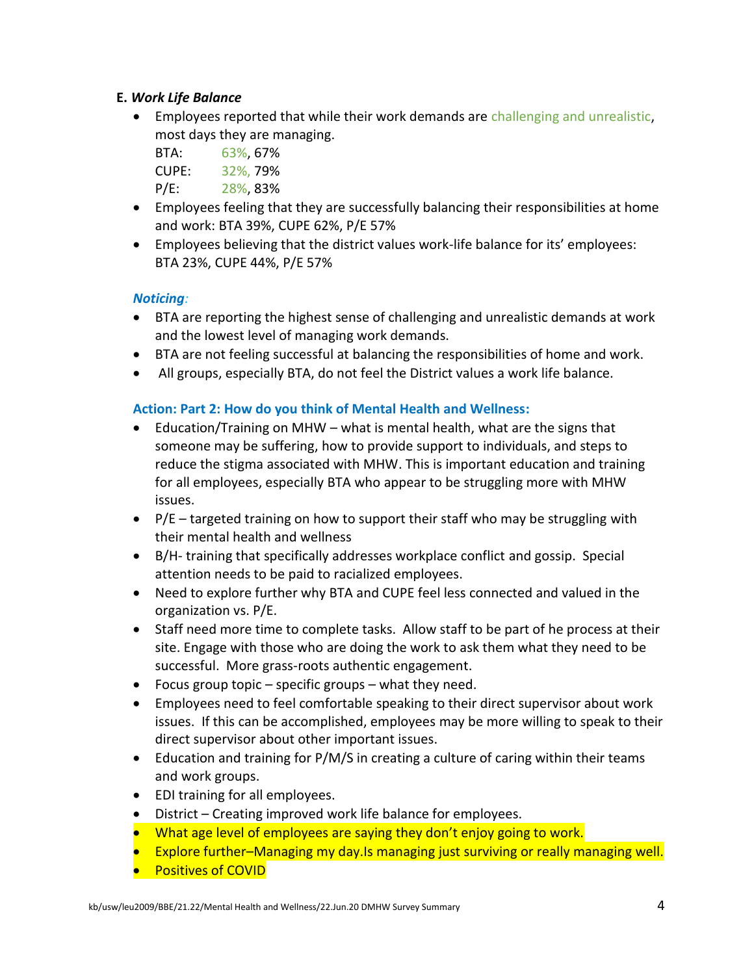# **E.** *Work Life Balance*

• Employees reported that while their work demands are challenging and unrealistic, most days they are managing.

BTA: 63%, 67% CUPE: 32%, 79% P/E: 28%, 83%

- Employees feeling that they are successfully balancing their responsibilities at home and work: BTA 39%, CUPE 62%, P/E 57%
- Employees believing that the district values work-life balance for its' employees: BTA 23%, CUPE 44%, P/E 57%

# *Noticing:*

- BTA are reporting the highest sense of challenging and unrealistic demands at work and the lowest level of managing work demands.
- BTA are not feeling successful at balancing the responsibilities of home and work.
- All groups, especially BTA, do not feel the District values a work life balance.

# **Action: Part 2: How do you think of Mental Health and Wellness:**

- Education/Training on MHW what is mental health, what are the signs that someone may be suffering, how to provide support to individuals, and steps to reduce the stigma associated with MHW. This is important education and training for all employees, especially BTA who appear to be struggling more with MHW issues.
- P/E targeted training on how to support their staff who may be struggling with their mental health and wellness
- B/H- training that specifically addresses workplace conflict and gossip. Special attention needs to be paid to racialized employees.
- Need to explore further why BTA and CUPE feel less connected and valued in the organization vs. P/E.
- Staff need more time to complete tasks. Allow staff to be part of he process at their site. Engage with those who are doing the work to ask them what they need to be successful. More grass-roots authentic engagement.
- Focus group topic specific groups what they need.
- Employees need to feel comfortable speaking to their direct supervisor about work issues. If this can be accomplished, employees may be more willing to speak to their direct supervisor about other important issues.
- Education and training for P/M/S in creating a culture of caring within their teams and work groups.
- EDI training for all employees.
- District Creating improved work life balance for employees.
- What age level of employees are saying they don't enjoy going to work.
- Explore further–Managing my day.Is managing just surviving or really managing well.
- **•** Positives of COVID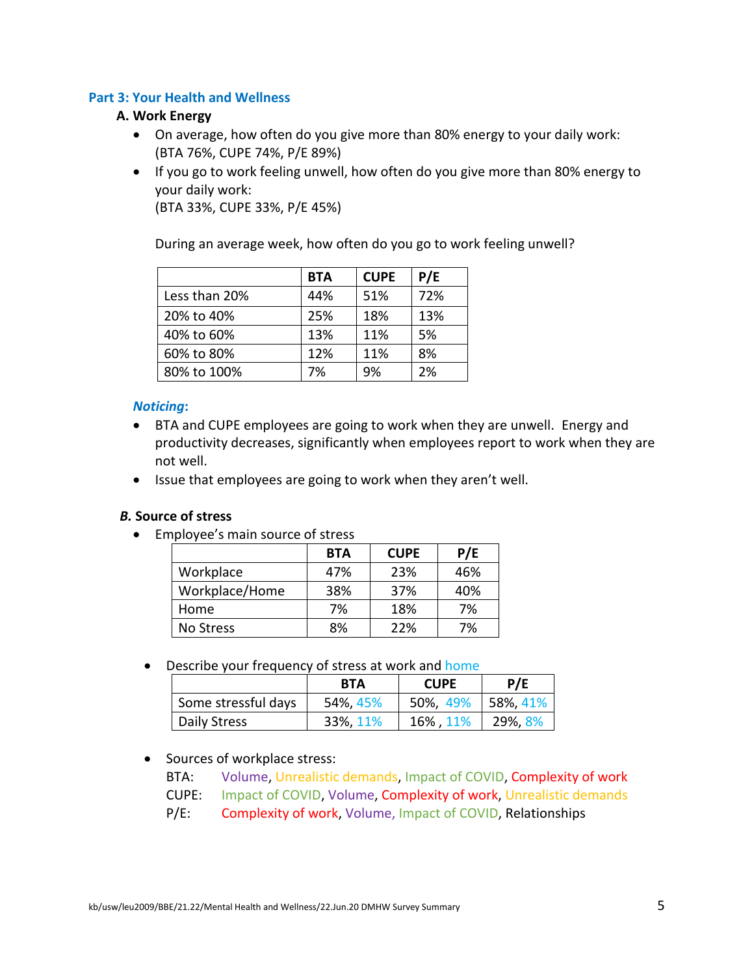# **Part 3: Your Health and Wellness**

### **A. Work Energy**

- On average, how often do you give more than 80% energy to your daily work: (BTA 76%, CUPE 74%, P/E 89%)
- If you go to work feeling unwell, how often do you give more than 80% energy to your daily work:

(BTA 33%, CUPE 33%, P/E 45%)

During an average week, how often do you go to work feeling unwell?

|               | <b>BTA</b> | <b>CUPE</b> | P/E |
|---------------|------------|-------------|-----|
| Less than 20% | 44%        | 51%         | 72% |
| 20% to 40%    | 25%        | 18%         | 13% |
| 40% to 60%    | 13%        | 11%         | 5%  |
| 60% to 80%    | 12%        | 11%         | 8%  |
| 80% to 100%   | 7%         | 9%          | 2%  |

## *Noticing***:**

- BTA and CUPE employees are going to work when they are unwell. Energy and productivity decreases, significantly when employees report to work when they are not well.
- Issue that employees are going to work when they aren't well.

#### *B.* **Source of stress**

• Employee's main source of stress

|                | <b>BTA</b> | <b>CUPE</b> | P/E |
|----------------|------------|-------------|-----|
| Workplace      | 47%        | 23%         | 46% |
| Workplace/Home | 38%        | 37%         | 40% |
| Home           | 7%         | 18%         | 7%  |
| No Stress      | 8%         | 22%         | 7%  |

• Describe your frequency of stress at work and home

|                     | <b>BTA</b> | <b>CUPE</b>       | P/E     |
|---------------------|------------|-------------------|---------|
| Some stressful days | 54%, 45%   | 50%, 49% 58%, 41% |         |
| Daily Stress        | 33%, 11%   | 16%, 11%          | 29%, 8% |

• Sources of workplace stress:

- BTA: Volume, Unrealistic demands, Impact of COVID, Complexity of work
- CUPE: Impact of COVID, Volume, Complexity of work, Unrealistic demands
- P/E: Complexity of work, Volume, Impact of COVID, Relationships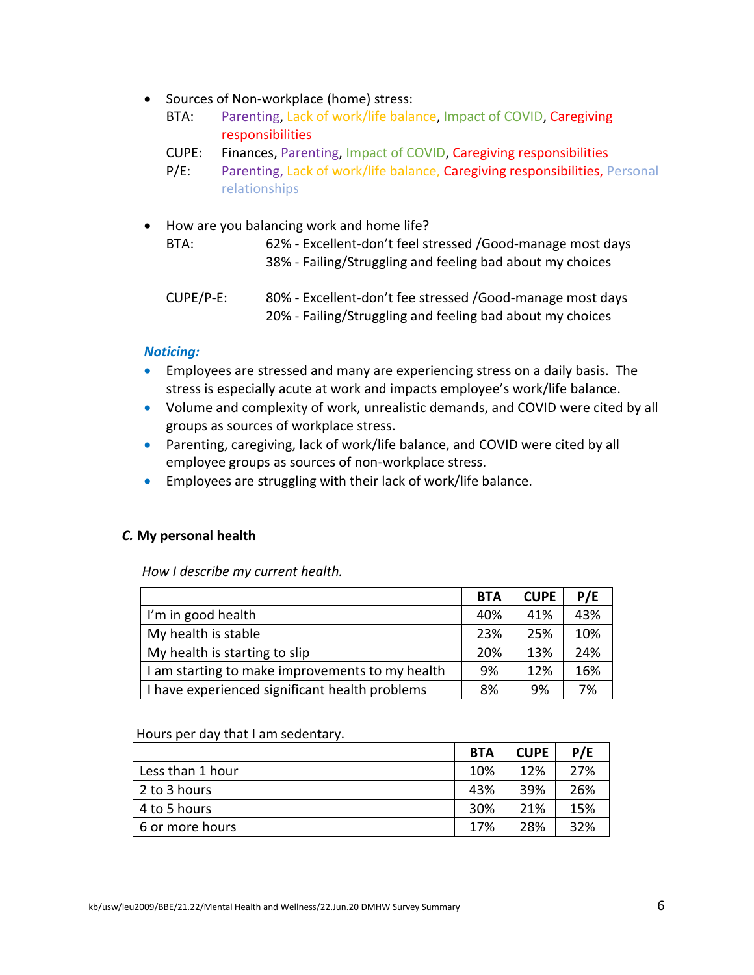- Sources of Non-workplace (home) stress:
	- BTA: Parenting, Lack of work/life balance, Impact of COVID, Caregiving responsibilities
	- CUPE: Finances, Parenting, Impact of COVID, Caregiving responsibilities
	- P/E: Parenting, Lack of work/life balance, Caregiving responsibilities, Personal relationships
- How are you balancing work and home life?

BTA: 62% - Excellent-don't feel stressed /Good-manage most days 38% - Failing/Struggling and feeling bad about my choices

CUPE/P-E: 80% - Excellent-don't fee stressed /Good-manage most days 20% - Failing/Struggling and feeling bad about my choices

## *Noticing:*

- Employees are stressed and many are experiencing stress on a daily basis. The stress is especially acute at work and impacts employee's work/life balance.
- Volume and complexity of work, unrealistic demands, and COVID were cited by all groups as sources of workplace stress.
- Parenting, caregiving, lack of work/life balance, and COVID were cited by all employee groups as sources of non-workplace stress.
- Employees are struggling with their lack of work/life balance.

# *C.* **My personal health**

 *How I describe my current health.* 

|                                                 | <b>BTA</b> | <b>CUPE</b> | P/E |
|-------------------------------------------------|------------|-------------|-----|
| I'm in good health                              | 40%        | 41%         | 43% |
| My health is stable                             | 23%        | 25%         | 10% |
| My health is starting to slip                   | 20%        | 13%         | 24% |
| I am starting to make improvements to my health | 9%         | 12%         | 16% |
| I have experienced significant health problems  | 8%         | 9%          | 7%  |

#### Hours per day that I am sedentary.

|                  | <b>BTA</b> | <b>CUPE</b> | P/E |
|------------------|------------|-------------|-----|
| Less than 1 hour | 10%        | 12%         | 27% |
| 2 to 3 hours     | 43%        | 39%         | 26% |
| 4 to 5 hours     | 30%        | 21%         | 15% |
| 6 or more hours  | 17%        | 28%         | 32% |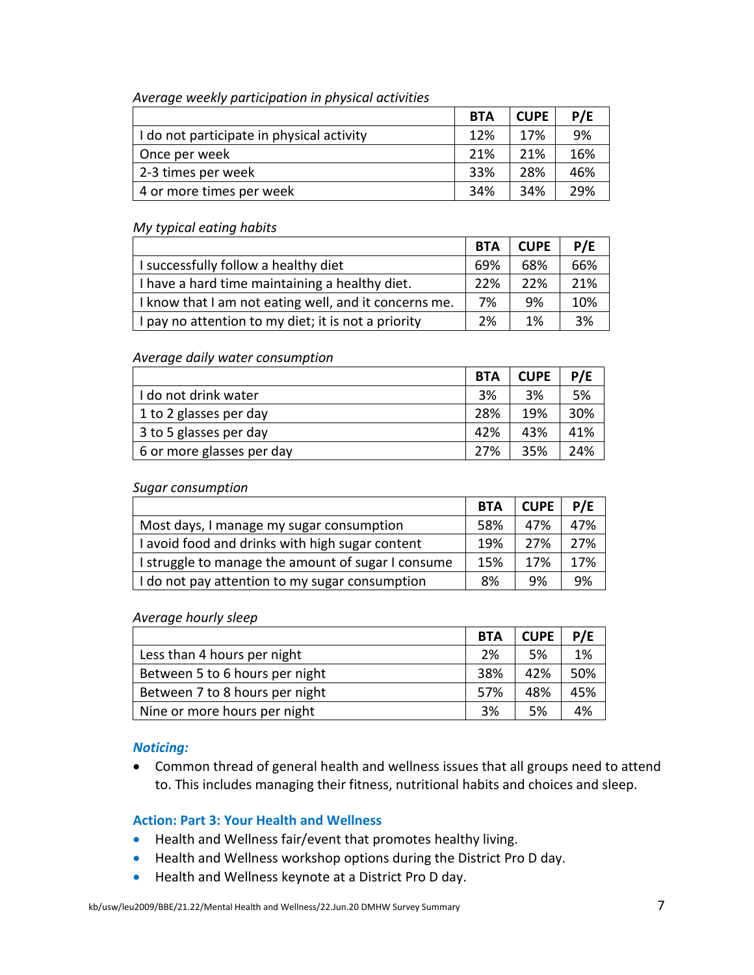## *Average weekly participation in physical activities*

|                                           | <b>BTA</b> | <b>CUPE</b> | P/E |
|-------------------------------------------|------------|-------------|-----|
| I do not participate in physical activity | 12%        | 17%         | 9%  |
| Once per week                             | 21%        | 21%         | 16% |
| 2-3 times per week                        | 33%        | 28%         | 46% |
| 4 or more times per week                  | 34%        | 34%         | 29% |

## *My typical eating habits*

|                                                       | <b>BTA</b> | <b>CUPE</b> | P/E |
|-------------------------------------------------------|------------|-------------|-----|
| I successfully follow a healthy diet                  | 69%        | 68%         | 66% |
| I have a hard time maintaining a healthy diet.        | 22%        | 22%         | 21% |
| I know that I am not eating well, and it concerns me. | 7%         | 9%          | 10% |
| I pay no attention to my diet; it is not a priority   | 2%         | 1%          | 3%  |

## *Average daily water consumption*

|                           | <b>BTA</b> | <b>CUPE</b> | P/E |
|---------------------------|------------|-------------|-----|
| I do not drink water      | 3%         | 3%          | 5%  |
| 1 to 2 glasses per day    | 28%        | 19%         | 30% |
| 3 to 5 glasses per day    | 42%        | 43%         | 41% |
| 6 or more glasses per day | 27%        | 35%         | 24% |

#### *Sugar consumption*

|                                                    | <b>BTA</b> | CUPE | P/E |
|----------------------------------------------------|------------|------|-----|
| Most days, I manage my sugar consumption           | 58%        | 47%  | 47% |
| I avoid food and drinks with high sugar content    | 19%        | 27%  | 27% |
| I struggle to manage the amount of sugar I consume | 15%        | 17%  | 17% |
| I do not pay attention to my sugar consumption     | 8%         | 9%   | 9%  |

#### *Average hourly sleep*

|                                | <b>BTA</b> | <b>CUPE</b> | P/E |
|--------------------------------|------------|-------------|-----|
| Less than 4 hours per night    | 2%         | 5%          | 1%  |
| Between 5 to 6 hours per night | 38%        | 42%         | 50% |
| Between 7 to 8 hours per night | 57%        | 48%         | 45% |
| Nine or more hours per night   | 3%         | 5%          | 4%  |

#### *Noticing:*

• Common thread of general health and wellness issues that all groups need to attend to. This includes managing their fitness, nutritional habits and choices and sleep.

## **Action: Part 3: Your Health and Wellness**

- Health and Wellness fair/event that promotes healthy living.
- Health and Wellness workshop options during the District Pro D day.
- Health and Wellness keynote at a District Pro D day.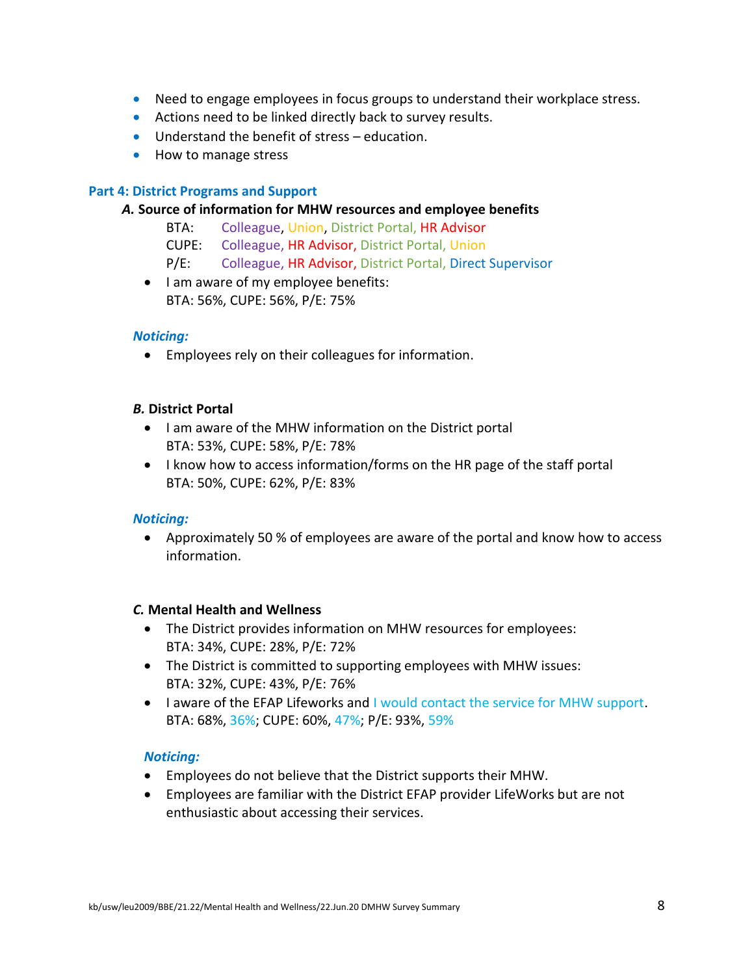- Need to engage employees in focus groups to understand their workplace stress.
- Actions need to be linked directly back to survey results.
- Understand the benefit of stress education.
- How to manage stress

# **Part 4: District Programs and Support**

## *A.* **Source of information for MHW resources and employee benefits**

- BTA: Colleague, Union, District Portal, HR Advisor
- CUPE: Colleague, HR Advisor, District Portal, Union
- P/E: Colleague, HR Advisor, District Portal, Direct Supervisor
- I am aware of my employee benefits: BTA: 56%, CUPE: 56%, P/E: 75%

# *Noticing:*

• Employees rely on their colleagues for information.

## *B.* **District Portal**

- I am aware of the MHW information on the District portal BTA: 53%, CUPE: 58%, P/E: 78%
- I know how to access information/forms on the HR page of the staff portal BTA: 50%, CUPE: 62%, P/E: 83%

#### *Noticing:*

• Approximately 50 % of employees are aware of the portal and know how to access information.

## *C.* **Mental Health and Wellness**

- The District provides information on MHW resources for employees: BTA: 34%, CUPE: 28%, P/E: 72%
- The District is committed to supporting employees with MHW issues: BTA: 32%, CUPE: 43%, P/E: 76%
- I aware of the EFAP Lifeworks and I would contact the service for MHW support. BTA: 68%, 36%; CUPE: 60%, 47%; P/E: 93%, 59%

#### *Noticing:*

- Employees do not believe that the District supports their MHW.
- Employees are familiar with the District EFAP provider LifeWorks but are not enthusiastic about accessing their services.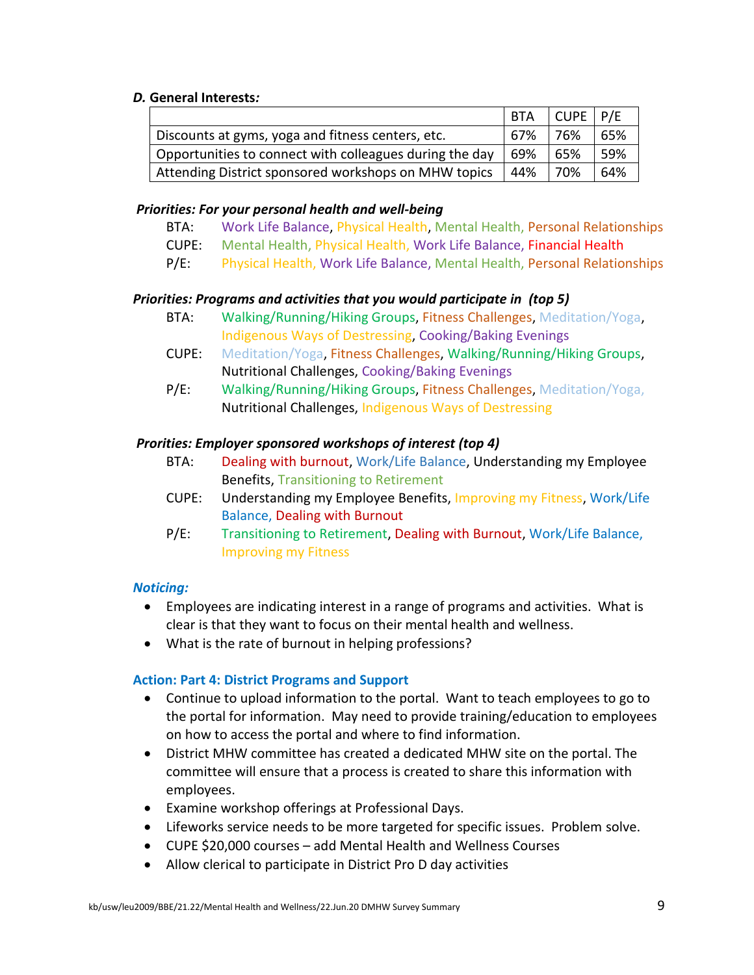## *D.* **General Interests***:*

|                                                         | <b>BTA</b> | $\vert$ CUPE $\vert$ P/E |     |
|---------------------------------------------------------|------------|--------------------------|-----|
| Discounts at gyms, yoga and fitness centers, etc.       | 67%        | 76%                      | 65% |
| Opportunities to connect with colleagues during the day | 69%        | 65%                      | 59% |
| Attending District sponsored workshops on MHW topics    | 44%        | - 70%                    | 64% |

## *Priorities: For your personal health and well-being*

- BTA: Work Life Balance, Physical Health, Mental Health, Personal Relationships
- CUPE: Mental Health, Physical Health, Work Life Balance, Financial Health
- P/E: Physical Health, Work Life Balance, Mental Health, Personal Relationships

## *Priorities: Programs and activities that you would participate in (top 5)*

- BTA: Walking/Running/Hiking Groups, Fitness Challenges, Meditation/Yoga, Indigenous Ways of Destressing, Cooking/Baking Evenings
- CUPE: Meditation/Yoga, Fitness Challenges, Walking/Running/Hiking Groups, Nutritional Challenges, Cooking/Baking Evenings
- P/E: Walking/Running/Hiking Groups, Fitness Challenges, Meditation/Yoga, Nutritional Challenges, Indigenous Ways of Destressing

## *Prorities: Employer sponsored workshops of interest (top 4)*

- BTA: Dealing with burnout, Work/Life Balance, Understanding my Employee Benefits, Transitioning to Retirement
- CUPE: Understanding my Employee Benefits, Improving my Fitness, Work/Life Balance, Dealing with Burnout
- P/E: Transitioning to Retirement, Dealing with Burnout, Work/Life Balance, Improving my Fitness

#### *Noticing:*

- Employees are indicating interest in a range of programs and activities. What is clear is that they want to focus on their mental health and wellness.
- What is the rate of burnout in helping professions?

# **Action: Part 4: District Programs and Support**

- Continue to upload information to the portal. Want to teach employees to go to the portal for information. May need to provide training/education to employees on how to access the portal and where to find information.
- District MHW committee has created a dedicated MHW site on the portal. The committee will ensure that a process is created to share this information with employees.
- Examine workshop offerings at Professional Days.
- Lifeworks service needs to be more targeted for specific issues. Problem solve.
- CUPE \$20,000 courses add Mental Health and Wellness Courses
- Allow clerical to participate in District Pro D day activities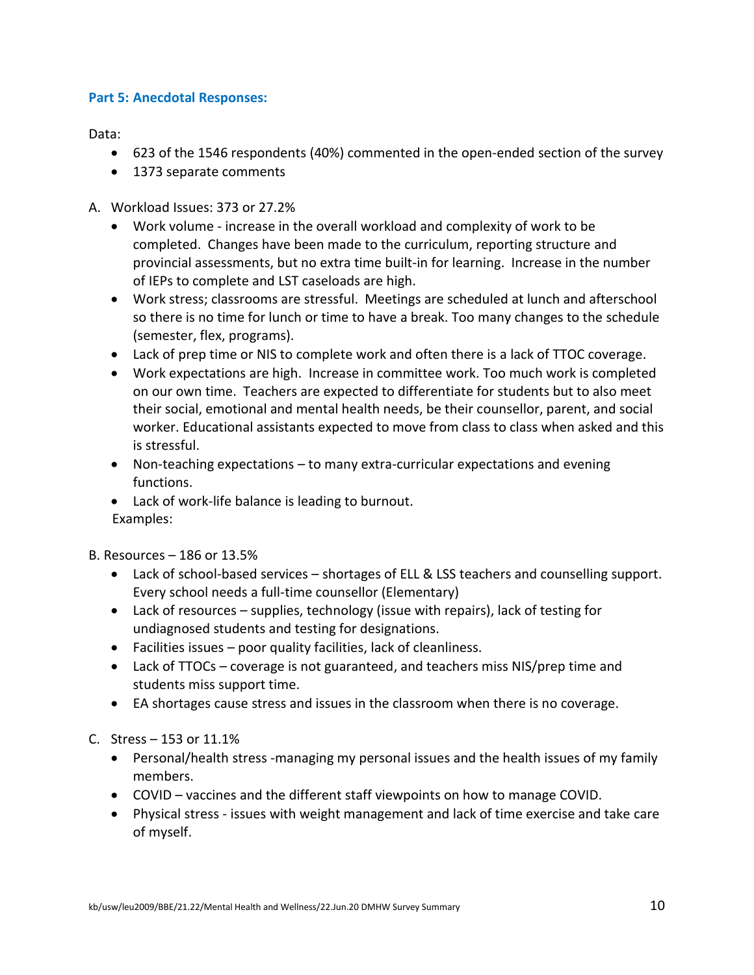# **Part 5: Anecdotal Responses:**

Data:

- 623 of the 1546 respondents (40%) commented in the open-ended section of the survey
- 1373 separate comments
- A. Workload Issues: 373 or 27.2%
	- Work volume increase in the overall workload and complexity of work to be completed. Changes have been made to the curriculum, reporting structure and provincial assessments, but no extra time built-in for learning. Increase in the number of IEPs to complete and LST caseloads are high.
	- Work stress; classrooms are stressful. Meetings are scheduled at lunch and afterschool so there is no time for lunch or time to have a break. Too many changes to the schedule (semester, flex, programs).
	- Lack of prep time or NIS to complete work and often there is a lack of TTOC coverage.
	- Work expectations are high. Increase in committee work. Too much work is completed on our own time. Teachers are expected to differentiate for students but to also meet their social, emotional and mental health needs, be their counsellor, parent, and social worker. Educational assistants expected to move from class to class when asked and this is stressful.
	- Non-teaching expectations to many extra-curricular expectations and evening functions.
	- Lack of work-life balance is leading to burnout. Examples:

B. Resources – 186 or 13.5%

- Lack of school-based services shortages of ELL & LSS teachers and counselling support. Every school needs a full-time counsellor (Elementary)
- Lack of resources supplies, technology (issue with repairs), lack of testing for undiagnosed students and testing for designations.
- Facilities issues poor quality facilities, lack of cleanliness.
- Lack of TTOCs coverage is not guaranteed, and teachers miss NIS/prep time and students miss support time.
- EA shortages cause stress and issues in the classroom when there is no coverage.
- C. Stress 153 or 11.1%
	- Personal/health stress -managing my personal issues and the health issues of my family members.
	- COVID vaccines and the different staff viewpoints on how to manage COVID.
	- Physical stress issues with weight management and lack of time exercise and take care of myself.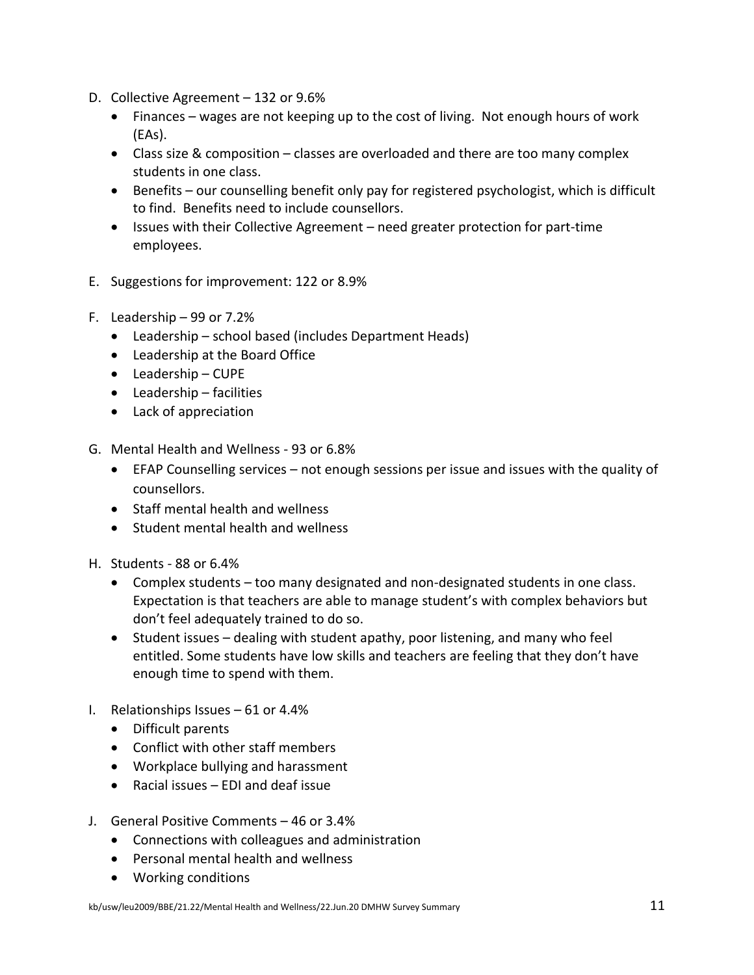- D. Collective Agreement 132 or 9.6%
	- Finances wages are not keeping up to the cost of living. Not enough hours of work (EAs).
	- Class size & composition classes are overloaded and there are too many complex students in one class.
	- Benefits our counselling benefit only pay for registered psychologist, which is difficult to find. Benefits need to include counsellors.
	- Issues with their Collective Agreement need greater protection for part-time employees.
- E. Suggestions for improvement: 122 or 8.9%
- F. Leadership 99 or 7.2%
	- Leadership school based (includes Department Heads)
	- Leadership at the Board Office
	- Leadership CUPE
	- Leadership facilities
	- Lack of appreciation
- G. Mental Health and Wellness 93 or 6.8%
	- EFAP Counselling services not enough sessions per issue and issues with the quality of counsellors.
	- Staff mental health and wellness
	- Student mental health and wellness
- H. Students 88 or 6.4%
	- Complex students too many designated and non-designated students in one class. Expectation is that teachers are able to manage student's with complex behaviors but don't feel adequately trained to do so.
	- Student issues dealing with student apathy, poor listening, and many who feel entitled. Some students have low skills and teachers are feeling that they don't have enough time to spend with them.
- I. Relationships Issues 61 or 4.4%
	- Difficult parents
	- Conflict with other staff members
	- Workplace bullying and harassment
	- Racial issues EDI and deaf issue
- J. General Positive Comments 46 or 3.4%
	- Connections with colleagues and administration
	- Personal mental health and wellness
	- Working conditions